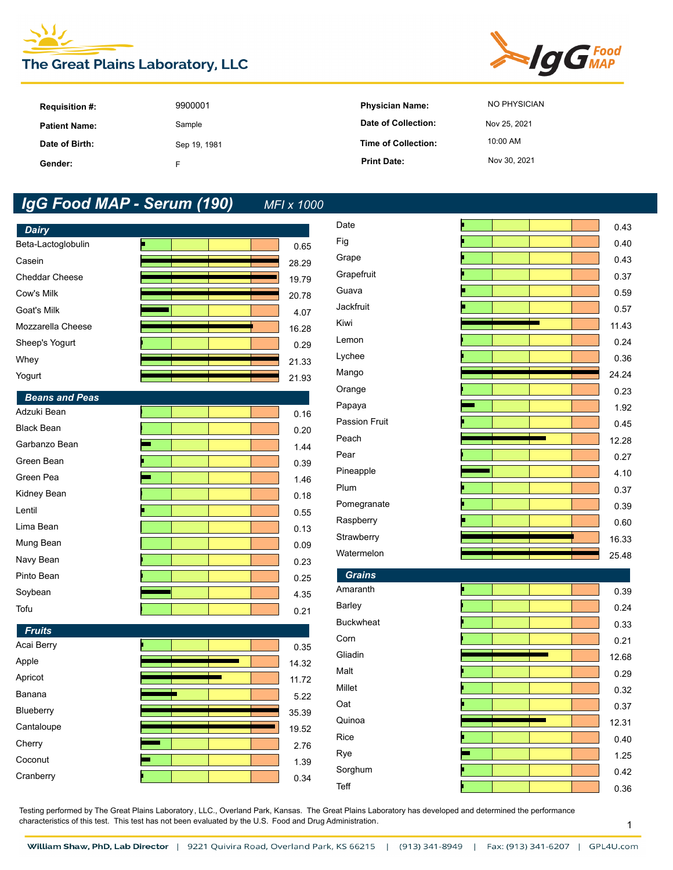



| <b>Requisition #:</b> | 9900001      | <b>Physician Name:</b> | NO PHYSICIAN |
|-----------------------|--------------|------------------------|--------------|
| <b>Patient Name:</b>  | Sample       | Date of Collection:    | Nov 25, 2021 |
| Date of Birth:        | Sep 19, 1981 | Time of Collection:    | 10:00 AM     |
| Gender:               |              | <b>Print Date:</b>     | Nov 30, 2021 |

| <b>Dairy</b>          |  |       |
|-----------------------|--|-------|
| Beta-Lactoglobulin    |  | 0.65  |
| Casein                |  | 28.29 |
| <b>Cheddar Cheese</b> |  | 19.79 |
| Cow's Milk            |  | 20.78 |
| Goat's Milk           |  | 4.07  |
| Mozzarella Cheese     |  | 16.28 |
| Sheep's Yogurt        |  | 0.29  |
| Whey                  |  | 21.33 |
| Yogurt                |  | 21.93 |
| <b>Beans and Peas</b> |  |       |
| Adzuki Bean           |  | 0.16  |
| <b>Black Bean</b>     |  | 0.20  |
| Garbanzo Bean         |  | 1.44  |
| Green Bean            |  | 0.39  |
| Green Pea             |  | 1.46  |
| Kidney Bean           |  | 0.18  |
| Lentil                |  | 0.55  |
| Lima Bean             |  | 0.13  |
| Mung Bean             |  | 0.09  |
| Navy Bean             |  | 0.23  |
| Pinto Bean            |  | 0.25  |
| Soybean               |  | 4.35  |
| Tofu                  |  | 0.21  |
| <b>Fruits</b>         |  |       |
| Acai Berry            |  | 0.35  |
| Apple                 |  | 14.32 |
| Apricot               |  | 11.72 |
| Banana                |  | 5.22  |
| Blueberry             |  | 35.39 |
| Cantaloupe            |  | 19.52 |
| Cherry                |  | 2.76  |
| Coconut               |  | 1.39  |
| Cranberry             |  | 0.34  |

| Date             | μ | 0.43  |
|------------------|---|-------|
| Fig              |   | 0.40  |
| Grape            |   | 0.43  |
| Grapefruit       |   | 0.37  |
| Guava            |   | 0.59  |
| Jackfruit        |   | 0.57  |
| Kiwi             |   | 11.43 |
| Lemon            |   | 0.24  |
| Lychee           |   | 0.36  |
| Mango            |   | 24.24 |
| Orange           |   | 0.23  |
| Papaya           |   | 1.92  |
| Passion Fruit    |   | 0.45  |
| Peach            |   | 12.28 |
| Pear             |   | 0.27  |
| Pineapple        |   | 4.10  |
| Plum             |   | 0.37  |
| Pomegranate      |   | 0.39  |
| Raspberry        |   | 0.60  |
| Strawberry       |   | 16.33 |
| Watermelon       |   | 25.48 |
| <b>Grains</b>    |   |       |
| Amaranth         |   | 0.39  |
| Barley           |   | 0.24  |
| <b>Buckwheat</b> |   | 0.33  |
| Corn             |   | 0.21  |
| Gliadin          |   | 12.68 |
| Malt             |   | 0.29  |
| Millet           |   | 0.32  |
| Oat              |   | 0.37  |
| Quinoa           |   | 12.31 |
| Rice             |   | 0.40  |
| Rye              |   | 1.25  |

Sorghum 0.42 Teff 0.36

Testing performed by The Great Plains Laboratory, LLC., Overland Park, Kansas. The Great Plains Laboratory has developed and determined the performance characteristics of this test. This test has not been evaluated by the U.S. Food and Drug Administration.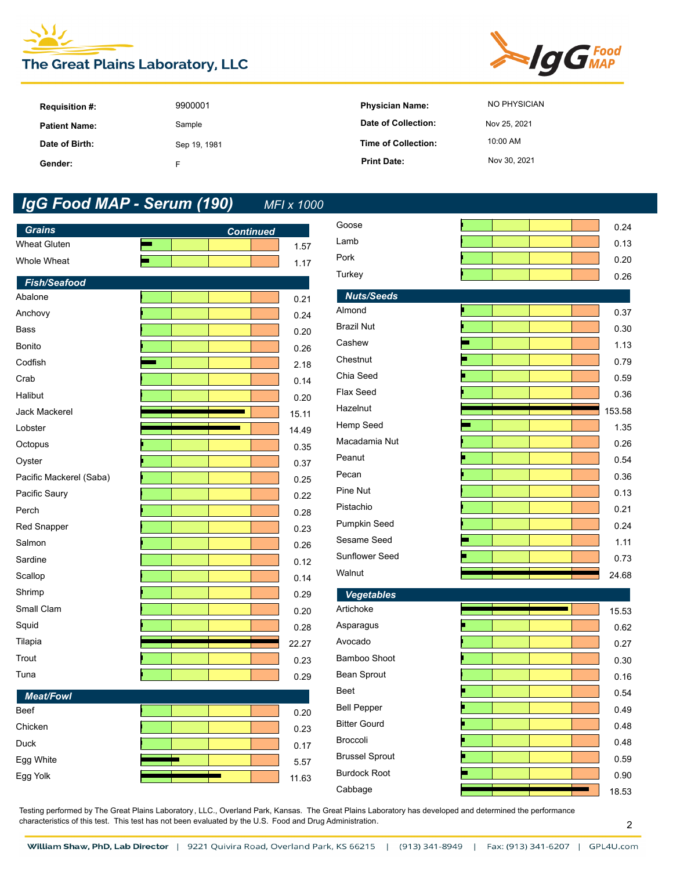



| <b>Requisition #:</b> | 9900001      | <b>Physician Name:</b> | NO PHYSICIAN |
|-----------------------|--------------|------------------------|--------------|
| <b>Patient Name:</b>  | Sample       | Date of Collection:    | Nov 25, 2021 |
| Date of Birth:        | Sep 19, 1981 | Time of Collection:    | 10:00 AM     |
| Gender:               |              | <b>Print Date:</b>     | Nov 30, 2021 |

| <b>Grains</b>                  |                  |              | Goose                 | 0.24   |
|--------------------------------|------------------|--------------|-----------------------|--------|
| Wheat Gluten                   | <b>Continued</b> | 1.57         | Lamb                  | 0.13   |
| Whole Wheat                    |                  | 1.17         | Pork                  | 0.20   |
|                                |                  |              | Turkey                | 0.26   |
| <b>Fish/Seafood</b><br>Abalone |                  |              | <b>Nuts/Seeds</b>     |        |
| Anchovy                        |                  | 0.21<br>0.24 | Almond                | 0.37   |
| <b>Bass</b>                    |                  | 0.20         | <b>Brazil Nut</b>     | 0.30   |
| Bonito                         |                  | 0.26         | Cashew                | 1.13   |
| Codfish                        |                  | 2.18         | Chestnut              | 0.79   |
| Crab                           |                  | 0.14         | Chia Seed             | 0.59   |
| Halibut                        |                  | 0.20         | Flax Seed             | 0.36   |
| Jack Mackerel                  |                  | 15.11        | Hazelnut              | 153.58 |
| Lobster                        |                  | 14.49        | Hemp Seed             | 1.35   |
| Octopus                        |                  | 0.35         | Macadamia Nut         | 0.26   |
| Oyster                         |                  | 0.37         | Peanut                | 0.54   |
| Pacific Mackerel (Saba)        |                  | 0.25         | Pecan                 | 0.36   |
| Pacific Saury                  |                  | 0.22         | Pine Nut              | 0.13   |
| Perch                          |                  | 0.28         | Pistachio             | 0.21   |
| Red Snapper                    |                  | 0.23         | Pumpkin Seed          | 0.24   |
| Salmon                         |                  | 0.26         | Sesame Seed           | 1.11   |
| Sardine                        |                  | 0.12         | Sunflower Seed        | 0.73   |
| Scallop                        |                  | 0.14         | Walnut                | 24.68  |
| Shrimp                         |                  | 0.29         | <b>Vegetables</b>     |        |
| Small Clam                     |                  | 0.20         | Artichoke             | 15.53  |
| Squid                          |                  | 0.28         | Asparagus             | 0.62   |
| Tilapia                        |                  | 22.27        | Avocado               | 0.27   |
| Trout                          |                  | 0.23         | Bamboo Shoot          | 0.30   |
| Tuna                           |                  | 0.29         | Bean Sprout           | 0.16   |
| <b>Meat/Fowl</b>               |                  |              | <b>Beet</b>           | 0.54   |
| Beef                           |                  | $0.20\,$     | Bell Pepper           | 0.49   |
| Chicken                        |                  | 0.23         | <b>Bitter Gourd</b>   | 0.48   |
| Duck                           |                  | 0.17         | Broccoli              | 0.48   |
| Egg White                      |                  | 5.57         | <b>Brussel Sprout</b> | 0.59   |
| Egg Yolk                       |                  | 11.63        | <b>Burdock Root</b>   | 0.90   |
|                                |                  |              | Cabbage               | 18.53  |

| Goose               |  |  | 0.24   |
|---------------------|--|--|--------|
| Lamb                |  |  | 0.13   |
| Pork                |  |  | 0.20   |
| Turkey              |  |  | 0.26   |
| <b>Nuts/Seeds</b>   |  |  |        |
| Almond              |  |  | 0.37   |
| <b>Brazil Nut</b>   |  |  | 0.30   |
| Cashew              |  |  | 1.13   |
| Chestnut            |  |  | 0.79   |
| Chia Seed           |  |  | 0.59   |
| Flax Seed           |  |  | 0.36   |
| Hazelnut            |  |  | 153.58 |
| Hemp Seed           |  |  | 1.35   |
| Macadamia Nut       |  |  | 0.26   |
| Peanut              |  |  | 0.54   |
| Pecan               |  |  | 0.36   |
| Pine Nut            |  |  | 0.13   |
| Pistachio           |  |  | 0.21   |
| Pumpkin Seed        |  |  | 0.24   |
| Sesame Seed         |  |  | 1.11   |
| Sunflower Seed      |  |  | 0.73   |
| Walnut              |  |  | 24.68  |
| <b>Vegetables</b>   |  |  |        |
| Artichoke           |  |  | 15.53  |
| Asparagus           |  |  | 0.62   |
| Avocado             |  |  | 0.27   |
| Bamboo Shoot        |  |  | 0.30   |
| Bean Sprout         |  |  | 0.16   |
| <b>Beet</b>         |  |  | 0.54   |
| <b>Bell Pepper</b>  |  |  | 0.49   |
| <b>Bitter Gourd</b> |  |  | 0.48   |
| <b>Broccoli</b>     |  |  | 0.48   |

Testing performed by The Great Plains Laboratory, LLC., Overland Park, Kansas. The Great Plains Laboratory has developed and determined the performance characteristics of this test. This test has not been evaluated by the U.S. Food and Drug Administration.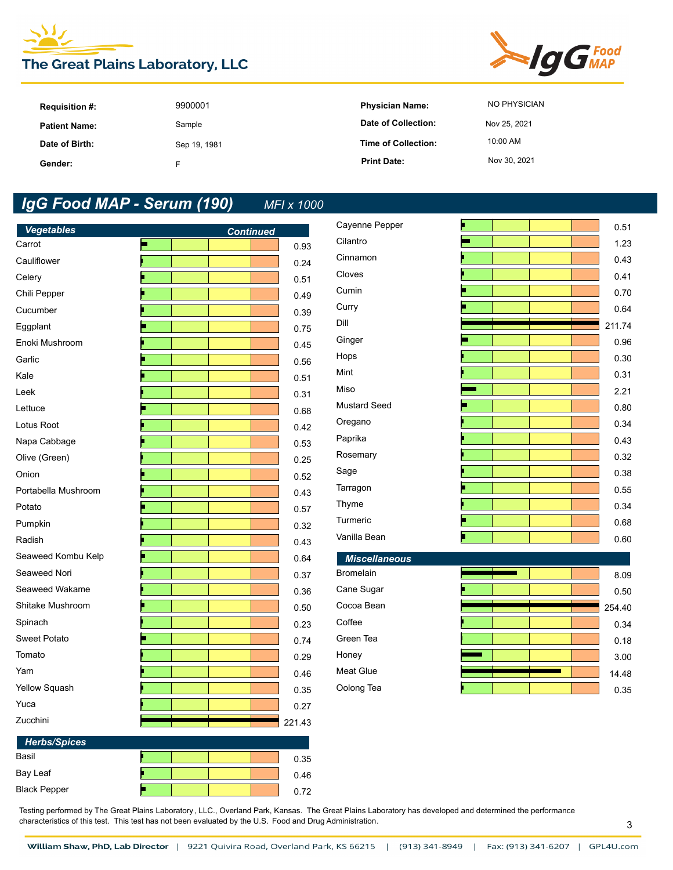



| <b>Requisition #:</b> | 9900001      | <b>Physician Name:</b> | NO PHYSICIAN |
|-----------------------|--------------|------------------------|--------------|
| <b>Patient Name:</b>  | Sample       | Date of Collection:    | Nov 25, 2021 |
| Date of Birth:        | Sep 19, 1981 | Time of Collection:    | 10:00 AM     |
| Gender:               |              | <b>Print Date:</b>     | Nov 30, 2021 |

| <b>Vegetables</b>   | <b>Continued</b> |        | Cayenne Pepper       |  | 0.51   |
|---------------------|------------------|--------|----------------------|--|--------|
| Carrot              | Е                | 0.93   | Cilantro             |  | 1.23   |
| Cauliflower         |                  | 0.24   | Cinnamon             |  | 0.43   |
| Celery              |                  | 0.51   | Cloves               |  | 0.41   |
| Chili Pepper        |                  | 0.49   | Cumin                |  | 0.70   |
| Cucumber            |                  | 0.39   | Curry                |  | 0.64   |
| Eggplant            |                  | 0.75   | Dill                 |  | 211.74 |
| Enoki Mushroom      |                  | 0.45   | Ginger               |  | 0.96   |
| Garlic              |                  | 0.56   | Hops                 |  | 0.30   |
| Kale                |                  | 0.51   | Mint                 |  | 0.31   |
| Leek                |                  | 0.31   | Miso                 |  | 2.21   |
| Lettuce             |                  | 0.68   | <b>Mustard Seed</b>  |  | 0.80   |
| Lotus Root          |                  | 0.42   | Oregano              |  | 0.34   |
| Napa Cabbage        |                  | 0.53   | Paprika              |  | 0.43   |
| Olive (Green)       |                  | 0.25   | Rosemary             |  | 0.32   |
| Onion               |                  | 0.52   | Sage                 |  | 0.38   |
| Portabella Mushroom |                  | 0.43   | Tarragon             |  | 0.55   |
| Potato              |                  | 0.57   | Thyme                |  | 0.34   |
| Pumpkin             |                  | 0.32   | Turmeric             |  | 0.68   |
| Radish              |                  | 0.43   | Vanilla Bean         |  | 0.60   |
| Seaweed Kombu Kelp  |                  | 0.64   | <b>Miscellaneous</b> |  |        |
| Seaweed Nori        |                  | 0.37   | Bromelain            |  | 8.09   |
| Seaweed Wakame      |                  | 0.36   | Cane Sugar           |  | 0.50   |
| Shitake Mushroom    |                  | 0.50   | Cocoa Bean           |  | 254.40 |
| Spinach             |                  | 0.23   | Coffee               |  | 0.34   |
| Sweet Potato        |                  | 0.74   | Green Tea            |  | 0.18   |
| Tomato              |                  | 0.29   | Honey                |  | 3.00   |
| Yam                 |                  | 0.46   | Meat Glue            |  | 14.48  |
| Yellow Squash       |                  | 0.35   | Oolong Tea           |  | 0.35   |
| Yuca                |                  | 0.27   |                      |  |        |
| Zucchini            |                  | 221.43 |                      |  |        |
| <b>Herbs/Spices</b> |                  |        |                      |  |        |
| Basil               |                  | 0.35   |                      |  |        |
| Bay Leaf            |                  | 0.46   |                      |  |        |
| <b>Black Pepper</b> | п                | 0.72   |                      |  |        |

Testing performed by The Great Plains Laboratory, LLC., Overland Park, Kansas. The Great Plains Laboratory has developed and determined the performance characteristics of this test. This test has not been evaluated by the U.S. Food and Drug Administration.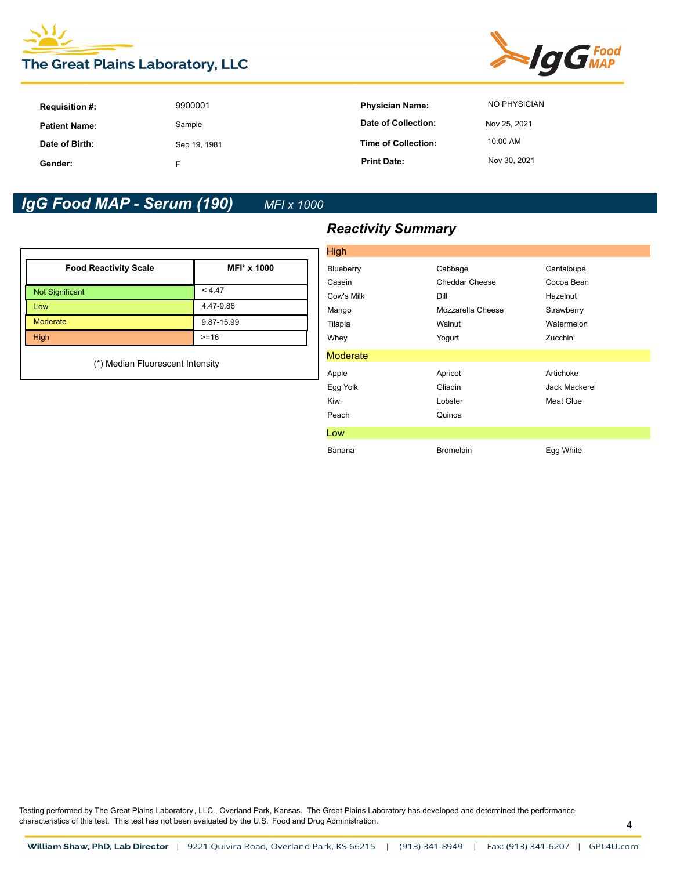



| <b>Requisition #:</b> | 9900001      | <b>Physician Name:</b>     | NO PHYSICIAN |
|-----------------------|--------------|----------------------------|--------------|
| <b>Patient Name:</b>  | Sample       | Date of Collection:        | Nov 25, 2021 |
| Date of Birth:        | Sep 19, 1981 | <b>Time of Collection:</b> | 10:00 AM     |
| Gender:               |              | <b>Print Date:</b>         | Nov 30, 2021 |

| <b>Food Reactivity Scale</b>     | MFI* x 1000 |
|----------------------------------|-------------|
| <b>Not Significant</b>           | < 4.47      |
| Low                              | 4.47-9.86   |
| <b>Moderate</b>                  | 9.87-15.99  |
| High                             | $>= 16$     |
| (*) Median Fluorescent Intensity |             |

# *Reactivity Summary*

| High            |                   |                      |
|-----------------|-------------------|----------------------|
| Blueberry       | Cabbage           | Cantaloupe           |
| Casein          | Cheddar Cheese    | Cocoa Bean           |
| Cow's Milk      | Dill              | Hazelnut             |
| Mango           | Mozzarella Cheese | Strawberry           |
| Tilapia         | Walnut            | Watermelon           |
| Whey            | Yogurt            | Zucchini             |
| <b>Moderate</b> |                   |                      |
| Apple           | Apricot           | Artichoke            |
| Egg Yolk        | Gliadin           | <b>Jack Mackerel</b> |
| Kiwi            | Lobster           | Meat Glue            |
| Peach           | Quinoa            |                      |
| Low             |                   |                      |
| Banana          | <b>Bromelain</b>  | Egg White            |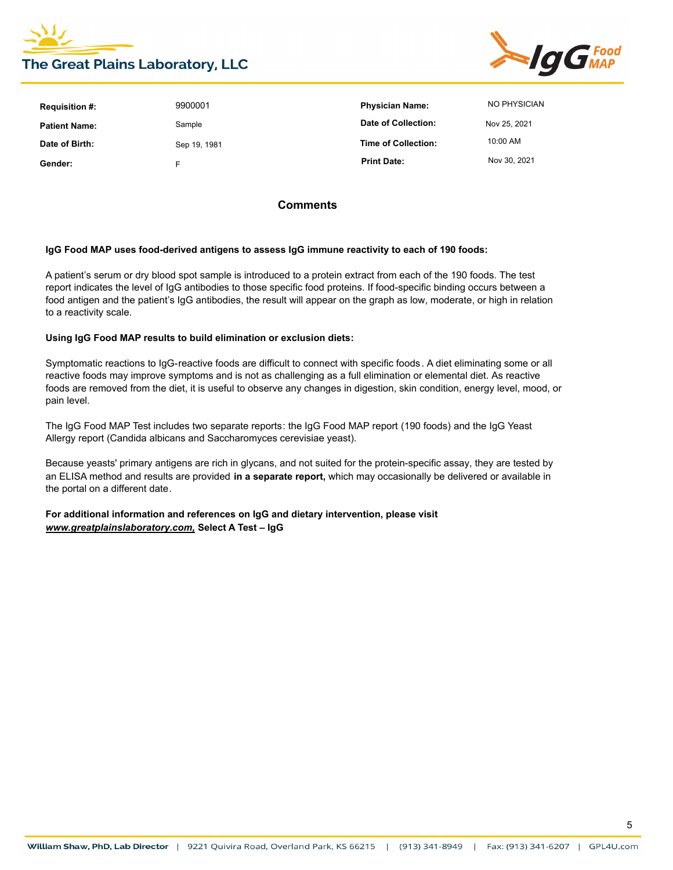



| <b>Requisition #:</b> | 9900001      | <b>Physician Name:</b>     | NO PHYSICIAN |
|-----------------------|--------------|----------------------------|--------------|
| <b>Patient Name:</b>  | Sample       | Date of Collection:        | Nov 25, 2021 |
| Date of Birth:        | Sep 19, 1981 | <b>Time of Collection:</b> | 10:00 AM     |
| Gender:               | F            | <b>Print Date:</b>         | Nov 30, 2021 |

### **Comments**

#### **IgG Food MAP uses food-derived antigens to assess IgG immune reactivity to each of 190 foods:**

A patient's serum or dry blood spot sample is introduced to a protein extract from each of the 190 foods. The test report indicates the level of IgG antibodies to those specific food proteins. If food-specific binding occurs between a food antigen and the patient's IgG antibodies, the result will appear on the graph as low, moderate, or high in relation to a reactivity scale.

#### **Using IgG Food MAP results to build elimination or exclusion diets:**

Symptomatic reactions to IgG-reactive foods are difficult to connect with specific foods. A diet eliminating some or all reactive foods may improve symptoms and is not as challenging as a full elimination or elemental diet. As reactive foods are removed from the diet, it is useful to observe any changes in digestion, skin condition, energy level, mood, or pain level.

The IgG Food MAP Test includes two separate reports: the IgG Food MAP report (190 foods) and the IgG Yeast Allergy report (Candida albicans and Saccharomyces cerevisiae yeast).

Because yeasts' primary antigens are rich in glycans, and not suited for the protein-specific assay, they are tested by an ELISA method and results are provided **in a separate report,** which may occasionally be delivered or available in the portal on a different date.

**For additional information and references on IgG and dietary intervention, please visit**  *www.greatplainslaboratory.com,* **Select A Test – IgG**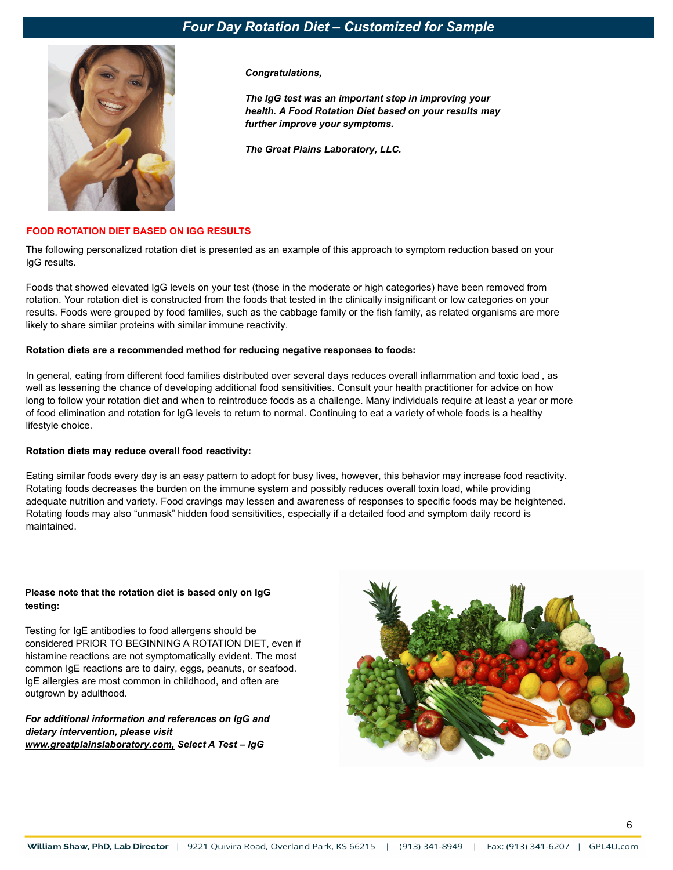

*Congratulations,* 

*The IgG test was an important step in improving your health. A Food Rotation Diet based on your results may further improve your symptoms.*

*The Great Plains Laboratory, LLC.*

### **FOOD ROTATION DIET BASED ON IGG RESULTS**

The following personalized rotation diet is presented as an example of this approach to symptom reduction based on your IgG results.

Foods that showed elevated IgG levels on your test (those in the moderate or high categories) have been removed from rotation. Your rotation diet is constructed from the foods that tested in the clinically insignificant or low categories on your results. Foods were grouped by food families, such as the cabbage family or the fish family, as related organisms are more likely to share similar proteins with similar immune reactivity.

#### **Rotation diets are a recommended method for reducing negative responses to foods:**

In general, eating from different food families distributed over several days reduces overall inflammation and toxic load , as well as lessening the chance of developing additional food sensitivities. Consult your health practitioner for advice on how long to follow your rotation diet and when to reintroduce foods as a challenge. Many individuals require at least a year or more of food elimination and rotation for IgG levels to return to normal. Continuing to eat a variety of whole foods is a healthy lifestyle choice.

#### **Rotation diets may reduce overall food reactivity:**

Eating similar foods every day is an easy pattern to adopt for busy lives, however, this behavior may increase food reactivity. Rotating foods decreases the burden on the immune system and possibly reduces overall toxin load, while providing adequate nutrition and variety. Food cravings may lessen and awareness of responses to specific foods may be heightened. Rotating foods may also "unmask" hidden food sensitivities, especially if a detailed food and symptom daily record is maintained.

#### **Please note that the rotation diet is based only on IgG testing:**

Testing for IgE antibodies to food allergens should be considered PRIOR TO BEGINNING A ROTATION DIET, even if histamine reactions are not symptomatically evident. The most common IgE reactions are to dairy, eggs, peanuts, or seafood. IgE allergies are most common in childhood, and often are outgrown by adulthood.

*For additional information and references on IgG and dietary intervention, please visit www.greatplainslaboratory.com, Select A Test – IgG*

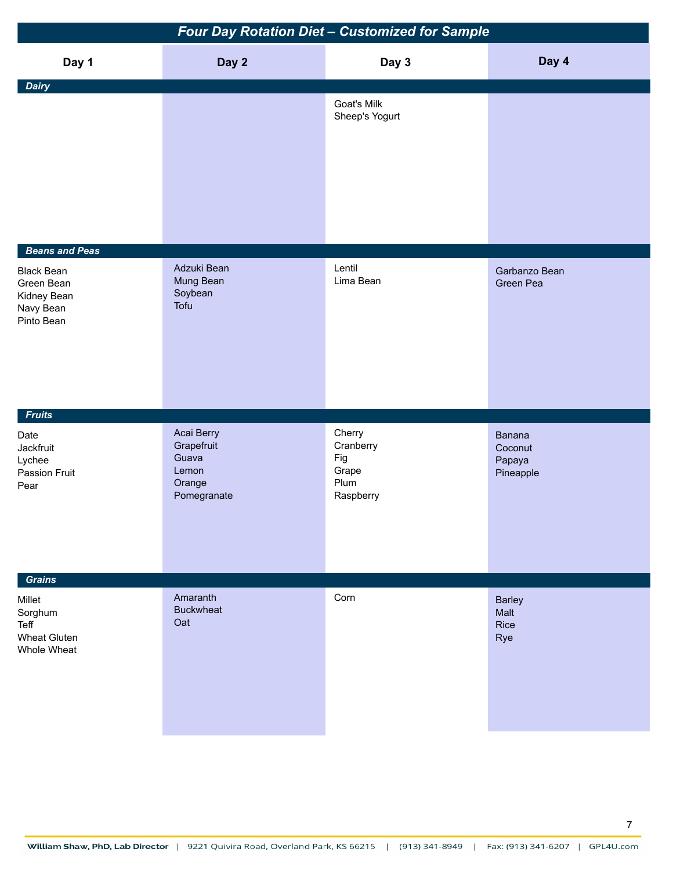| Four Day Rotation Diet - Customized for Sample                                                     |                                                                     |                                                          |                                          |  |
|----------------------------------------------------------------------------------------------------|---------------------------------------------------------------------|----------------------------------------------------------|------------------------------------------|--|
| Day 1                                                                                              | Day 2                                                               | Day 3                                                    | Day 4                                    |  |
| <b>Dairy</b>                                                                                       |                                                                     | Goat's Milk<br>Sheep's Yogurt                            |                                          |  |
| <b>Beans and Peas</b><br><b>Black Bean</b><br>Green Bean<br>Kidney Bean<br>Navy Bean<br>Pinto Bean | Adzuki Bean<br>Mung Bean<br>Soybean<br>Tofu                         | Lentil<br>Lima Bean                                      | Garbanzo Bean<br>Green Pea               |  |
| <b>Fruits</b><br>Date<br>Jackfruit<br>Lychee<br>Passion Fruit<br>Pear                              | Acai Berry<br>Grapefruit<br>Guava<br>Lemon<br>Orange<br>Pomegranate | Cherry<br>Cranberry<br>Fig<br>Grape<br>Plum<br>Raspberry | Banana<br>Coconut<br>Papaya<br>Pineapple |  |
| <b>Grains</b><br>Millet<br>Sorghum<br>Teff<br><b>Wheat Gluten</b><br>Whole Wheat                   | Amaranth<br><b>Buckwheat</b><br>Oat                                 | Corn                                                     | <b>Barley</b><br>Malt<br>Rice<br>Rye     |  |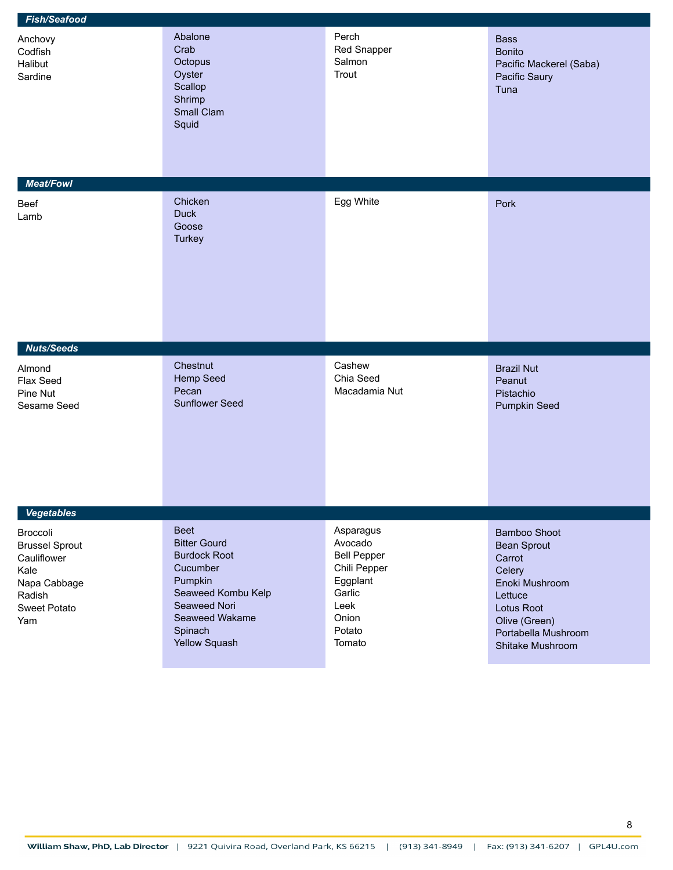| <b>Fish/Seafood</b>                                                                                       |                                                                                                                                                                      |                                                                                                                       |                                                                                                                                                               |  |
|-----------------------------------------------------------------------------------------------------------|----------------------------------------------------------------------------------------------------------------------------------------------------------------------|-----------------------------------------------------------------------------------------------------------------------|---------------------------------------------------------------------------------------------------------------------------------------------------------------|--|
| Anchovy<br>Codfish<br>Halibut<br>Sardine                                                                  | Abalone<br>Crab<br>Octopus<br>Oyster<br>Scallop<br>Shrimp<br>Small Clam<br>Squid                                                                                     | Perch<br>Red Snapper<br>Salmon<br>Trout                                                                               | <b>Bass</b><br><b>Bonito</b><br>Pacific Mackerel (Saba)<br>Pacific Saury<br>Tuna                                                                              |  |
| <b>Meat/Fowl</b>                                                                                          |                                                                                                                                                                      |                                                                                                                       |                                                                                                                                                               |  |
| Beef<br>Lamb                                                                                              | Chicken<br><b>Duck</b><br>Goose<br><b>Turkey</b>                                                                                                                     | Egg White                                                                                                             | Pork                                                                                                                                                          |  |
| <b>Nuts/Seeds</b>                                                                                         |                                                                                                                                                                      |                                                                                                                       |                                                                                                                                                               |  |
| Almond<br>Flax Seed<br>Pine Nut<br>Sesame Seed                                                            | Chestnut<br>Hemp Seed<br>Pecan<br><b>Sunflower Seed</b>                                                                                                              | Cashew<br>Chia Seed<br>Macadamia Nut                                                                                  | <b>Brazil Nut</b><br>Peanut<br>Pistachio<br><b>Pumpkin Seed</b>                                                                                               |  |
| <b>Vegetables</b>                                                                                         |                                                                                                                                                                      |                                                                                                                       |                                                                                                                                                               |  |
| Broccoli<br><b>Brussel Sprout</b><br>Cauliflower<br>Kale<br>Napa Cabbage<br>Radish<br>Sweet Potato<br>Yam | <b>Beet</b><br><b>Bitter Gourd</b><br><b>Burdock Root</b><br>Cucumber<br>Pumpkin<br>Seaweed Kombu Kelp<br>Seaweed Nori<br>Seaweed Wakame<br>Spinach<br>Yellow Squash | Asparagus<br>Avocado<br><b>Bell Pepper</b><br>Chili Pepper<br>Eggplant<br>Garlic<br>Leek<br>Onion<br>Potato<br>Tomato | Bamboo Shoot<br><b>Bean Sprout</b><br>Carrot<br>Celery<br>Enoki Mushroom<br>Lettuce<br>Lotus Root<br>Olive (Green)<br>Portabella Mushroom<br>Shitake Mushroom |  |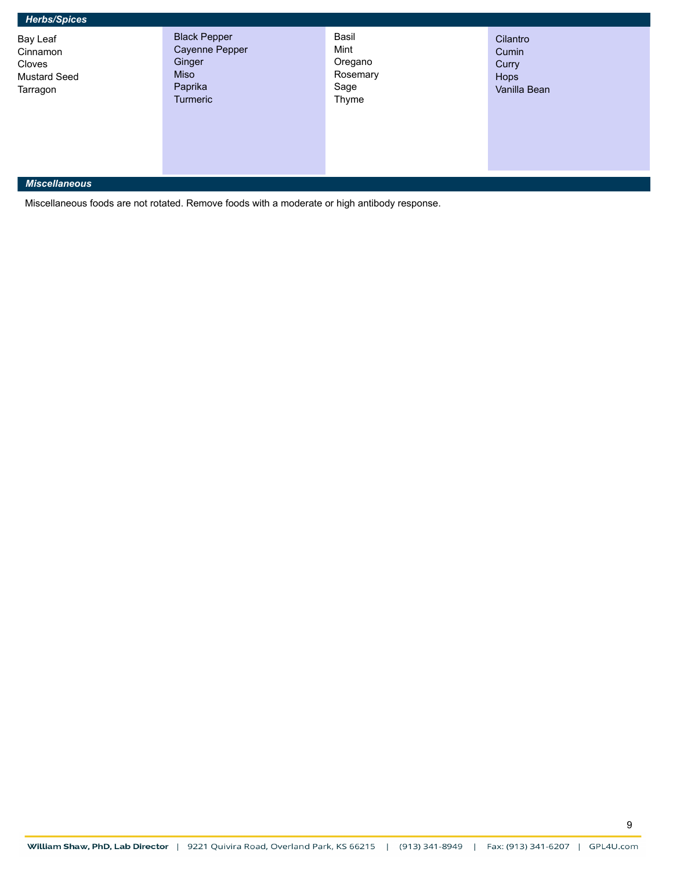| <b>Herbs/Spices</b> |  |
|---------------------|--|
|                     |  |

Bay Leaf **Cinnamon** Cloves Mustard Seed Tarragon

Black Pepper Cayenne Pepper Ginger Miso Paprika Turmeric

Basil Mint Oregano Rosemary Sage Thyme

Cilantro Cumin **Curry** Hops Vanilla Bean

### *Miscellaneous*

Miscellaneous foods are not rotated. Remove foods with a moderate or high antibody response.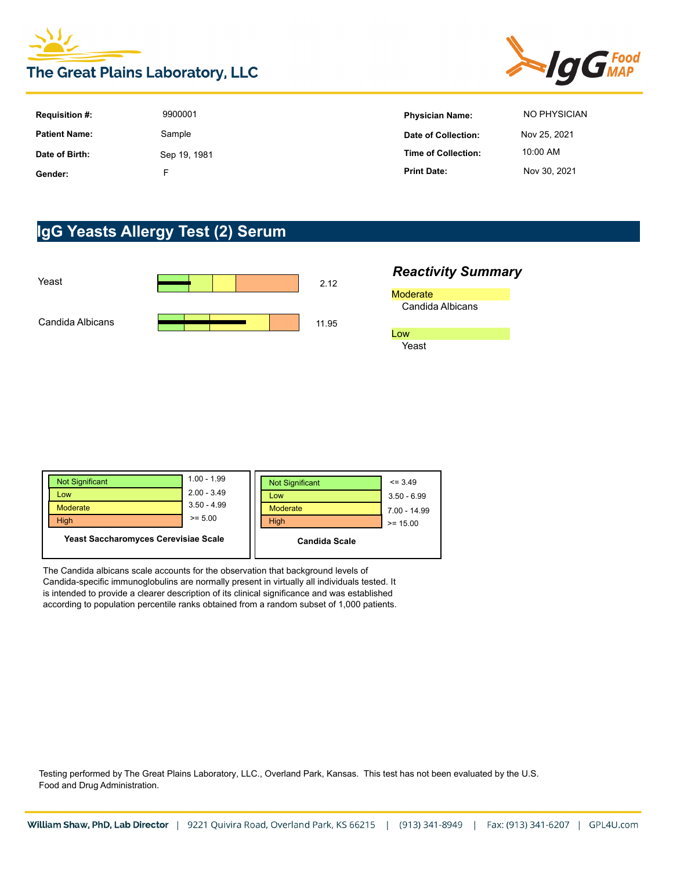



| <b>Requisition #:</b> | 9900001      | <b>Physician Name:</b> | NO PHYSICIAN |
|-----------------------|--------------|------------------------|--------------|
| <b>Patient Name:</b>  | Sample       | Date of Collection:    | Nov 25, 2021 |
| Date of Birth:        | Sep 19, 1981 | Time of Collection:    | 10:00 AM     |
| Gender:               |              | <b>Print Date:</b>     | Nov 30, 2021 |

# **IgG Yeasts Allergy Test (2) Serum**



### *Reactivity Summary* **Moderate** Candida Albicans Low Yeast

| <b>Not Significant</b>               | $1.00 - 1.99$ | <b>Not Significant</b> | $\leq$ 3.49    |
|--------------------------------------|---------------|------------------------|----------------|
| Low                                  | $2.00 - 3.49$ | Low                    | $3.50 - 6.99$  |
| Moderate                             | $3.50 - 4.99$ | <b>Moderate</b>        | $7.00 - 14.99$ |
| <b>High</b>                          | $>= 5.00$     | <b>High</b>            | $>= 15.00$     |
| Yeast Saccharomyces Cerevisiae Scale |               | <b>Candida Scale</b>   |                |

The Candida albicans scale accounts for the observation that background levels of Candida-specific immunoglobulins are normally present in virtually all individuals tested. It is intended to provide a clearer description of its clinical significance and was established according to population percentile ranks obtained from a random subset of 1,000 patients.

Testing performed by The Great Plains Laboratory, LLC., Overland Park, Kansas. This test has not been evaluated by the U.S. Food and Drug Administration.